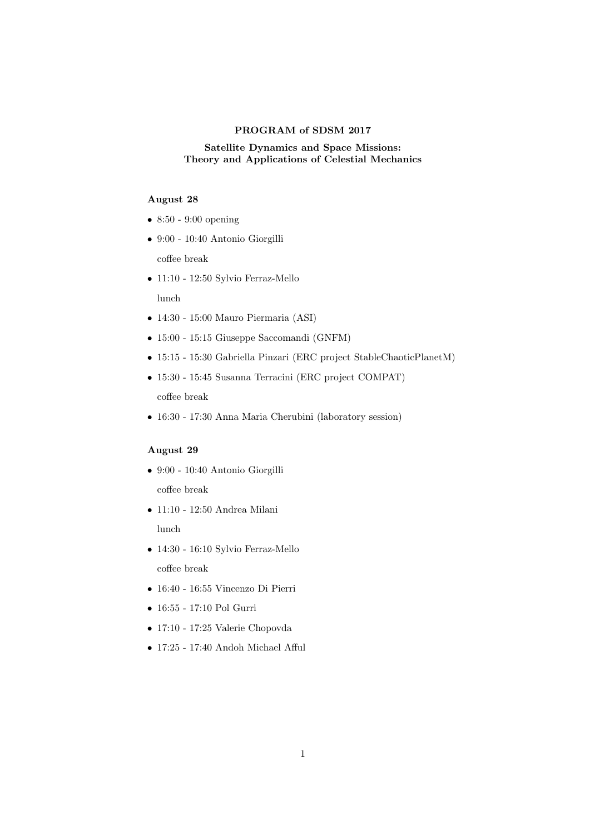#### PROGRAM of SDSM 2017

# Satellite Dynamics and Space Missions: Theory and Applications of Celestial Mechanics

# August 28

- 8:50 9:00 opening
- 9:00 10:40 Antonio Giorgilli
	- coffee break
- 11:10 12:50 Sylvio Ferraz-Mello lunch
- 14:30 15:00 Mauro Piermaria (ASI)
- 15:00 15:15 Giuseppe Saccomandi (GNFM)
- 15:15 15:30 Gabriella Pinzari (ERC project StableChaoticPlanetM)
- 15:30 15:45 Susanna Terracini (ERC project COMPAT) coffee break
- 16:30 17:30 Anna Maria Cherubini (laboratory session)

## August 29

- 9:00 10:40 Antonio Giorgilli coffee break
- $\bullet$  11:10 12:50 Andrea Milani lunch
- 14:30 16:10 Sylvio Ferraz-Mello coffee break
- 16:40 16:55 Vincenzo Di Pierri
- 16:55 17:10 Pol Gurri
- 17:10 17:25 Valerie Chopovda
- 17:25 17:40 Andoh Michael Afful